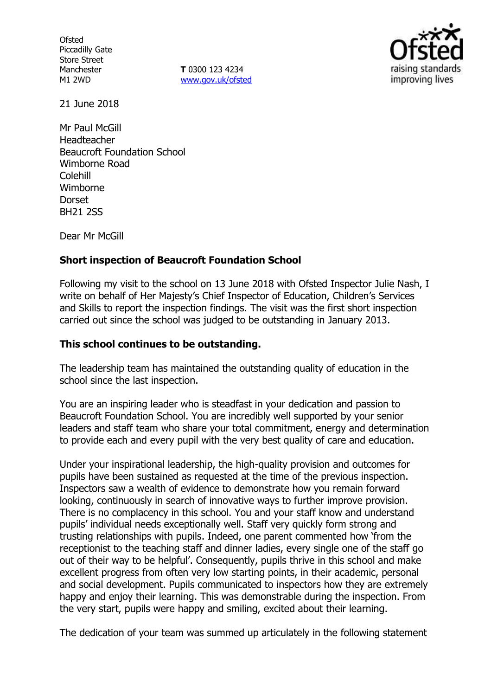**Ofsted** Piccadilly Gate Store Street Manchester M1 2WD

**T** 0300 123 4234 www.gov.uk/ofsted



21 June 2018

Mr Paul McGill Headteacher Beaucroft Foundation School Wimborne Road Colehill Wimborne **Dorset** BH21 2SS

Dear Mr McGill

### **Short inspection of Beaucroft Foundation School**

Following my visit to the school on 13 June 2018 with Ofsted Inspector Julie Nash, I write on behalf of Her Majesty's Chief Inspector of Education, Children's Services and Skills to report the inspection findings. The visit was the first short inspection carried out since the school was judged to be outstanding in January 2013.

### **This school continues to be outstanding.**

The leadership team has maintained the outstanding quality of education in the school since the last inspection.

You are an inspiring leader who is steadfast in your dedication and passion to Beaucroft Foundation School. You are incredibly well supported by your senior leaders and staff team who share your total commitment, energy and determination to provide each and every pupil with the very best quality of care and education.

Under your inspirational leadership, the high-quality provision and outcomes for pupils have been sustained as requested at the time of the previous inspection. Inspectors saw a wealth of evidence to demonstrate how you remain forward looking, continuously in search of innovative ways to further improve provision. There is no complacency in this school. You and your staff know and understand pupils' individual needs exceptionally well. Staff very quickly form strong and trusting relationships with pupils. Indeed, one parent commented how 'from the receptionist to the teaching staff and dinner ladies, every single one of the staff go out of their way to be helpful'. Consequently, pupils thrive in this school and make excellent progress from often very low starting points, in their academic, personal and social development. Pupils communicated to inspectors how they are extremely happy and enjoy their learning. This was demonstrable during the inspection. From the very start, pupils were happy and smiling, excited about their learning.

The dedication of your team was summed up articulately in the following statement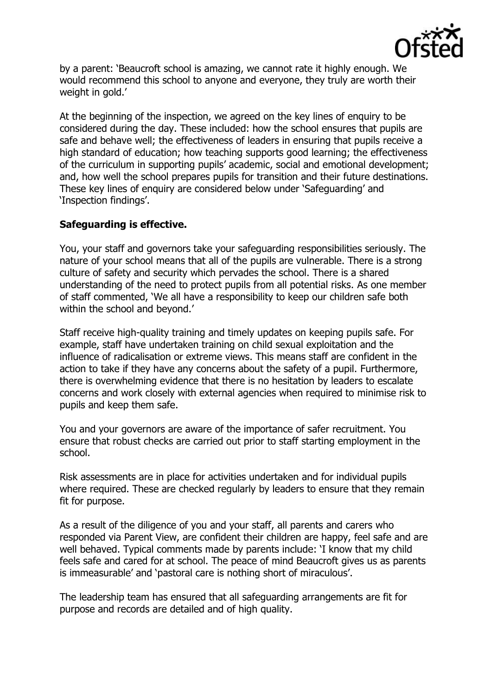

by a parent: 'Beaucroft school is amazing, we cannot rate it highly enough. We would recommend this school to anyone and everyone, they truly are worth their weight in gold.'

At the beginning of the inspection, we agreed on the key lines of enquiry to be considered during the day. These included: how the school ensures that pupils are safe and behave well; the effectiveness of leaders in ensuring that pupils receive a high standard of education; how teaching supports good learning; the effectiveness of the curriculum in supporting pupils' academic, social and emotional development; and, how well the school prepares pupils for transition and their future destinations. These key lines of enquiry are considered below under 'Safeguarding' and 'Inspection findings'.

# **Safeguarding is effective.**

You, your staff and governors take your safeguarding responsibilities seriously. The nature of your school means that all of the pupils are vulnerable. There is a strong culture of safety and security which pervades the school. There is a shared understanding of the need to protect pupils from all potential risks. As one member of staff commented, 'We all have a responsibility to keep our children safe both within the school and beyond.'

Staff receive high-quality training and timely updates on keeping pupils safe. For example, staff have undertaken training on child sexual exploitation and the influence of radicalisation or extreme views. This means staff are confident in the action to take if they have any concerns about the safety of a pupil. Furthermore, there is overwhelming evidence that there is no hesitation by leaders to escalate concerns and work closely with external agencies when required to minimise risk to pupils and keep them safe.

You and your governors are aware of the importance of safer recruitment. You ensure that robust checks are carried out prior to staff starting employment in the school.

Risk assessments are in place for activities undertaken and for individual pupils where required. These are checked regularly by leaders to ensure that they remain fit for purpose.

As a result of the diligence of you and your staff, all parents and carers who responded via Parent View, are confident their children are happy, feel safe and are well behaved. Typical comments made by parents include: 'I know that my child feels safe and cared for at school. The peace of mind Beaucroft gives us as parents is immeasurable' and 'pastoral care is nothing short of miraculous'.

The leadership team has ensured that all safeguarding arrangements are fit for purpose and records are detailed and of high quality.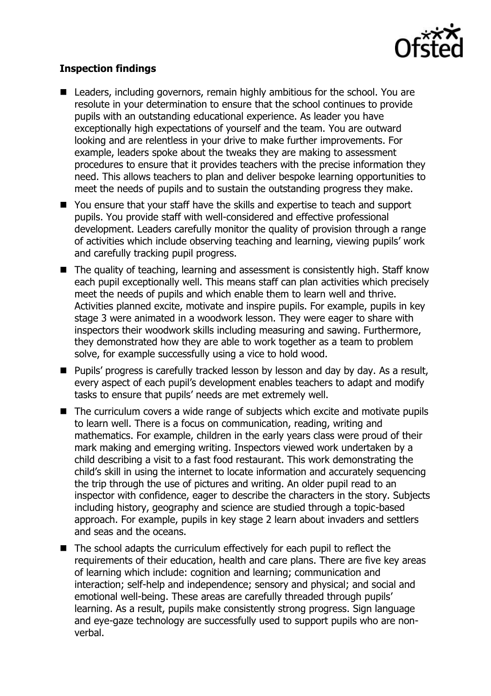

# **Inspection findings**

- Leaders, including governors, remain highly ambitious for the school. You are resolute in your determination to ensure that the school continues to provide pupils with an outstanding educational experience. As leader you have exceptionally high expectations of yourself and the team. You are outward looking and are relentless in your drive to make further improvements. For example, leaders spoke about the tweaks they are making to assessment procedures to ensure that it provides teachers with the precise information they need. This allows teachers to plan and deliver bespoke learning opportunities to meet the needs of pupils and to sustain the outstanding progress they make.
- You ensure that your staff have the skills and expertise to teach and support pupils. You provide staff with well-considered and effective professional development. Leaders carefully monitor the quality of provision through a range of activities which include observing teaching and learning, viewing pupils' work and carefully tracking pupil progress.
- The quality of teaching, learning and assessment is consistently high. Staff know each pupil exceptionally well. This means staff can plan activities which precisely meet the needs of pupils and which enable them to learn well and thrive. Activities planned excite, motivate and inspire pupils. For example, pupils in key stage 3 were animated in a woodwork lesson. They were eager to share with inspectors their woodwork skills including measuring and sawing. Furthermore, they demonstrated how they are able to work together as a team to problem solve, for example successfully using a vice to hold wood.
- **Pupils' progress is carefully tracked lesson by lesson and day by day. As a result,** every aspect of each pupil's development enables teachers to adapt and modify tasks to ensure that pupils' needs are met extremely well.
- The curriculum covers a wide range of subjects which excite and motivate pupils to learn well. There is a focus on communication, reading, writing and mathematics. For example, children in the early years class were proud of their mark making and emerging writing. Inspectors viewed work undertaken by a child describing a visit to a fast food restaurant. This work demonstrating the child's skill in using the internet to locate information and accurately sequencing the trip through the use of pictures and writing. An older pupil read to an inspector with confidence, eager to describe the characters in the story. Subjects including history, geography and science are studied through a topic-based approach. For example, pupils in key stage 2 learn about invaders and settlers and seas and the oceans.
- The school adapts the curriculum effectively for each pupil to reflect the requirements of their education, health and care plans. There are five key areas of learning which include: cognition and learning; communication and interaction; self-help and independence; sensory and physical; and social and emotional well-being. These areas are carefully threaded through pupils' learning. As a result, pupils make consistently strong progress. Sign language and eye-gaze technology are successfully used to support pupils who are nonverbal.